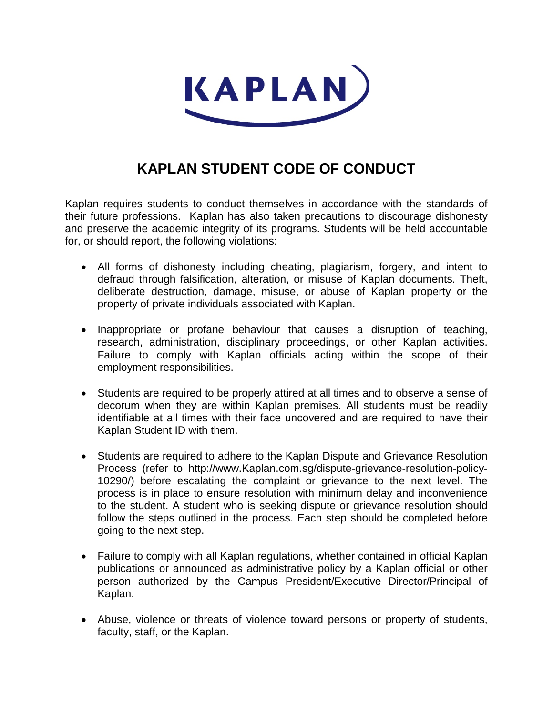

## **KAPLAN STUDENT CODE OF CONDUCT**

Kaplan requires students to conduct themselves in accordance with the standards of their future professions. Kaplan has also taken precautions to discourage dishonesty and preserve the academic integrity of its programs. Students will be held accountable for, or should report, the following violations:

- All forms of dishonesty including cheating, plagiarism, forgery, and intent to defraud through falsification, alteration, or misuse of Kaplan documents. Theft, deliberate destruction, damage, misuse, or abuse of Kaplan property or the property of private individuals associated with Kaplan.
- Inappropriate or profane behaviour that causes a disruption of teaching, research, administration, disciplinary proceedings, or other Kaplan activities. Failure to comply with Kaplan officials acting within the scope of their employment responsibilities.
- Students are required to be properly attired at all times and to observe a sense of decorum when they are within Kaplan premises. All students must be readily identifiable at all times with their face uncovered and are required to have their Kaplan Student ID with them.
- Students are required to adhere to the Kaplan Dispute and Grievance Resolution Process (refer to http://www.Kaplan.com.sg/dispute-grievance-resolution-policy-10290/) before escalating the complaint or grievance to the next level. The process is in place to ensure resolution with minimum delay and inconvenience to the student. A student who is seeking dispute or grievance resolution should follow the steps outlined in the process. Each step should be completed before going to the next step.
- Failure to comply with all Kaplan regulations, whether contained in official Kaplan publications or announced as administrative policy by a Kaplan official or other person authorized by the Campus President/Executive Director/Principal of Kaplan.
- Abuse, violence or threats of violence toward persons or property of students, faculty, staff, or the Kaplan.